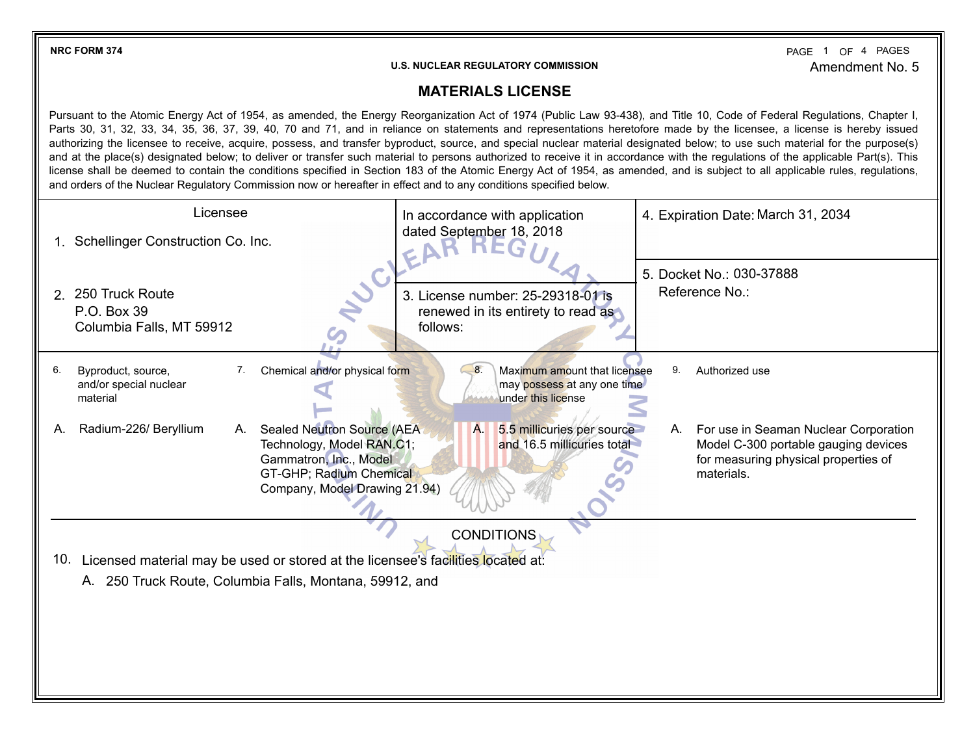**NRC FORM 374** PAGE 1 OF 4 Amendment No. 5 PAGE 1 OF 4 PAGES

## **U.S. NUCLEAR REGULATORY COMMISSION**

## **MATERIALS LICENSE**

| <b>MATERIALS LICENSE</b>                                                                                                                                                                                                                                                                                                                                                                                                                                                                                                                                                                                                                                                                                                                                                                                                                                                                                                                                                                                                      |                                                                                                                                                                                                             |  |  |  |
|-------------------------------------------------------------------------------------------------------------------------------------------------------------------------------------------------------------------------------------------------------------------------------------------------------------------------------------------------------------------------------------------------------------------------------------------------------------------------------------------------------------------------------------------------------------------------------------------------------------------------------------------------------------------------------------------------------------------------------------------------------------------------------------------------------------------------------------------------------------------------------------------------------------------------------------------------------------------------------------------------------------------------------|-------------------------------------------------------------------------------------------------------------------------------------------------------------------------------------------------------------|--|--|--|
| Pursuant to the Atomic Energy Act of 1954, as amended, the Energy Reorganization Act of 1974 (Public Law 93-438), and Title 10, Code of Federal Regulations, Chapter I,<br>Parts 30, 31, 32, 33, 34, 35, 36, 37, 39, 40, 70 and 71, and in reliance on statements and representations heretofore made by the licensee, a license is hereby issued<br>authorizing the licensee to receive, acquire, possess, and transfer byproduct, source, and special nuclear material designated below; to use such material for the purpose(s)<br>and at the place(s) designated below; to deliver or transfer such material to persons authorized to receive it in accordance with the regulations of the applicable Part(s). This<br>license shall be deemed to contain the conditions specified in Section 183 of the Atomic Energy Act of 1954, as amended, and is subject to all applicable rules, regulations,<br>and orders of the Nuclear Regulatory Commission now or hereafter in effect and to any conditions specified below. |                                                                                                                                                                                                             |  |  |  |
| Licensee<br>1. Schellinger Construction Co. Inc.                                                                                                                                                                                                                                                                                                                                                                                                                                                                                                                                                                                                                                                                                                                                                                                                                                                                                                                                                                              | 4. Expiration Date: March 31, 2034<br>In accordance with application<br>dated September 18, 2018                                                                                                            |  |  |  |
| 2. 250 Truck Route<br>P.O. Box 39<br>Columbia Falls, MT 59912                                                                                                                                                                                                                                                                                                                                                                                                                                                                                                                                                                                                                                                                                                                                                                                                                                                                                                                                                                 | 5. Docket No.: 030-37888<br>Reference No.:<br>3. License number: 25-29318-01 is<br>renewed in its entirety to read as<br>follows:                                                                           |  |  |  |
| Chemical and/or physical form<br>Byproduct, source,<br>6.<br>7.<br>and/or special nuclear<br>material                                                                                                                                                                                                                                                                                                                                                                                                                                                                                                                                                                                                                                                                                                                                                                                                                                                                                                                         | Maximum amount that licensee<br>8.<br>9.<br>Authorized use<br>may possess at any one time<br>under this license                                                                                             |  |  |  |
| Radium-226/ Beryllium<br>Sealed Neutron Source (AEA<br>А.<br>А.<br>Technology, Model RAN.C1;<br>Gammatron, Inc., Model<br>GT-GHP; Radium Chemical<br>Company, Model Drawing 21.94)                                                                                                                                                                                                                                                                                                                                                                                                                                                                                                                                                                                                                                                                                                                                                                                                                                            | 5.5 millicuries per source<br>Α.<br>For use in Seaman Nuclear Corporation<br>А.<br>and 16.5 millicuries total<br>Model C-300 portable gauging devices<br>for measuring physical properties of<br>materials. |  |  |  |
| <b>CONDITIONS</b>                                                                                                                                                                                                                                                                                                                                                                                                                                                                                                                                                                                                                                                                                                                                                                                                                                                                                                                                                                                                             |                                                                                                                                                                                                             |  |  |  |
| 10. Licensed material may be used or stored at the licensee's facilities located at:<br>A. 250 Truck Route, Columbia Falls, Montana, 59912, and                                                                                                                                                                                                                                                                                                                                                                                                                                                                                                                                                                                                                                                                                                                                                                                                                                                                               |                                                                                                                                                                                                             |  |  |  |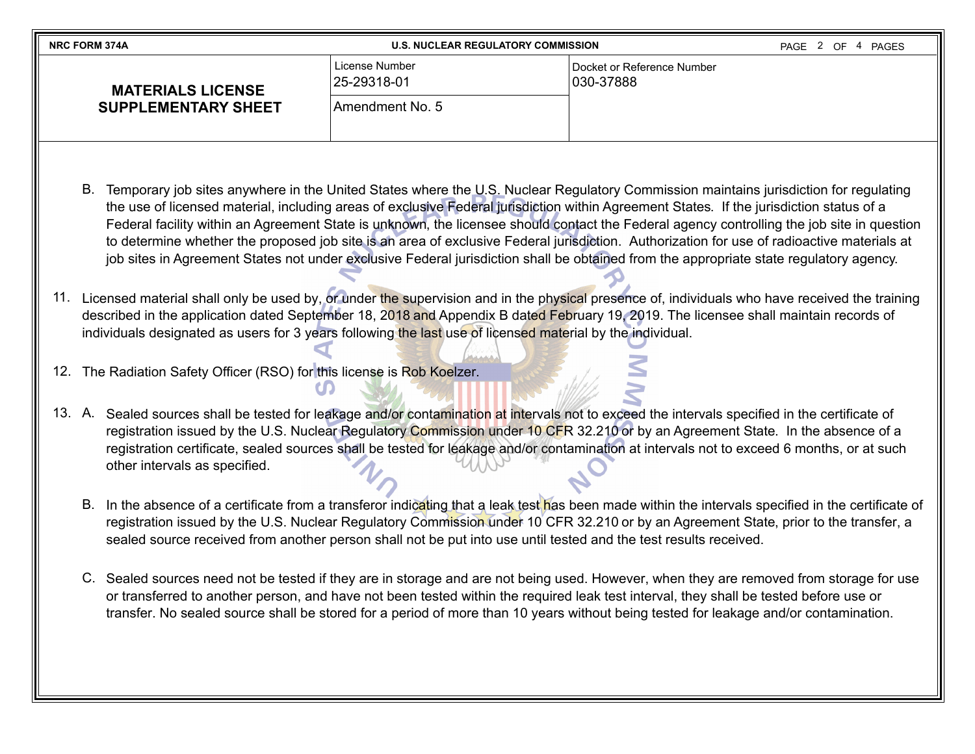| <b>NRC FORM 374A</b>       | <b>U.S. NUCLEAR REGULATORY COMMISSION</b><br>PAGE 2 OF 4 PAGES |                                         |  |
|----------------------------|----------------------------------------------------------------|-----------------------------------------|--|
| <b>MATERIALS LICENSE</b>   | License Number<br>25-29318-01                                  | Docket or Reference Number<br>030-37888 |  |
| <b>SUPPLEMENTARY SHEET</b> | Amendment No. 5                                                |                                         |  |
|                            |                                                                |                                         |  |

- B. Temporary job sites anywhere in the United States where the U.S. Nuclear Regulatory Commission maintains jurisdiction for regulating the use of licensed material, including areas of exclusive Federal jurisdiction within Agreement States. If the jurisdiction status of a Federal facility within an Agreement State is unknown, the licensee should contact the Federal agency controlling the job site in question to determine whether the proposed job site is an area of exclusive Federal jurisdiction. Authorization for use of radioactive materials at job sites in Agreement States not under exclusive Federal jurisdiction shall be obtained from the appropriate state regulatory agency.
- 11. Licensed material shall only be used by, or under the supervision and in the physical presence of, individuals who have received the training described in the application dated September 18, 2018 and Appendix B dated February 19, 2019. The licensee shall maintain records of individuals designated as users for 3 years following the last use of licensed material by the individual.
- 12. The Radiation Safety Officer (RSO) for this license is Rob Koelzer.
- 13. A. Sealed sources shall be tested for leakage and/or contamination at intervals not to exceed the intervals specified in the certificate of registration issued by the U.S. Nuclear Regulatory Commission under 10 CFR 32.210 or by an Agreement State. In the absence of a registration certificate, sealed sources shall be tested for leakage and/or contamination at intervals not to exceed 6 months, or at such other intervals as specified.
	- B. In the absence of a certificate from a transferor indicating that a leak test has been made within the intervals specified in the certificate of registration issued by the U.S. Nuclear Regulatory Commission under 10 CFR 32.210 or by an Agreement State, prior to the transfer, a sealed source received from another person shall not be put into use until tested and the test results received.
	- C. Sealed sources need not be tested if they are in storage and are not being used. However, when they are removed from storage for use or transferred to another person, and have not been tested within the required leak test interval, they shall be tested before use or transfer. No sealed source shall be stored for a period of more than 10 years without being tested for leakage and/or contamination.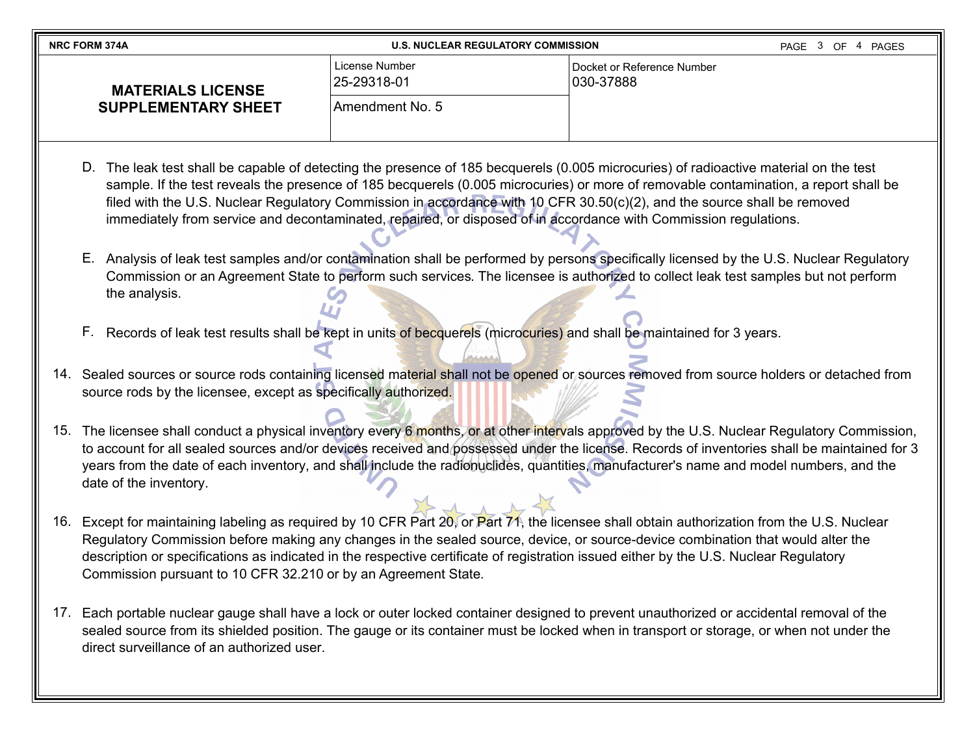| <b>NRC FORM 374A</b>       | <b>U.S. NUCLEAR REGULATORY COMMISSION</b> |                                           | PAGE 3 OF<br>PAGES |
|----------------------------|-------------------------------------------|-------------------------------------------|--------------------|
| <b>MATERIALS LICENSE</b>   | License Number<br>25-29318-01             | l Docket or Reference Number<br>030-37888 |                    |
| <b>SUPPLEMENTARY SHEET</b> | Amendment No. 5                           |                                           |                    |

- D. The leak test shall be capable of detecting the presence of 185 becquerels (0.005 microcuries) of radioactive material on the test sample. If the test reveals the presence of 185 becquerels (0.005 microcuries) or more of removable contamination, a report shall be filed with the U.S. Nuclear Regulatory Commission in accordance with 10 CFR 30.50(c)(2), and the source shall be removed immediately from service and decontaminated, repaired, or disposed of in accordance with Commission regulations.
- E. Analysis of leak test samples and/or contamination shall be performed by persons specifically licensed by the U.S. Nuclear Regulatory Commission or an Agreement State to perform such services. The licensee is authorized to collect leak test samples but not perform the analysis.
- F. Records of leak test results shall be kept in units of becquerels (microcuries) and shall be maintained for 3 years.
- 14. Sealed sources or source rods containing licensed material shall not be opened or sources removed from source holders or detached from source rods by the licensee, except as specifically authorized.
- 15. The licensee shall conduct a physical inventory every 6 months, or at other intervals approved by the U.S. Nuclear Regulatory Commission, to account for all sealed sources and/or devices received and possessed under the license. Records of inventories shall be maintained for 3 years from the date of each inventory, and shall include the radionuclides, quantities, manufacturer's name and model numbers, and the date of the inventory.
- 16. Except for maintaining labeling as required by 10 CFR Part 20, or Part 71, the licensee shall obtain authorization from the U.S. Nuclear Regulatory Commission before making any changes in the sealed source, device, or source-device combination that would alter the description or specifications as indicated in the respective certificate of registration issued either by the U.S. Nuclear Regulatory Commission pursuant to 10 CFR 32.210 or by an Agreement State.
- 17. Each portable nuclear gauge shall have a lock or outer locked container designed to prevent unauthorized or accidental removal of the sealed source from its shielded position. The gauge or its container must be locked when in transport or storage, or when not under the direct surveillance of an authorized user.